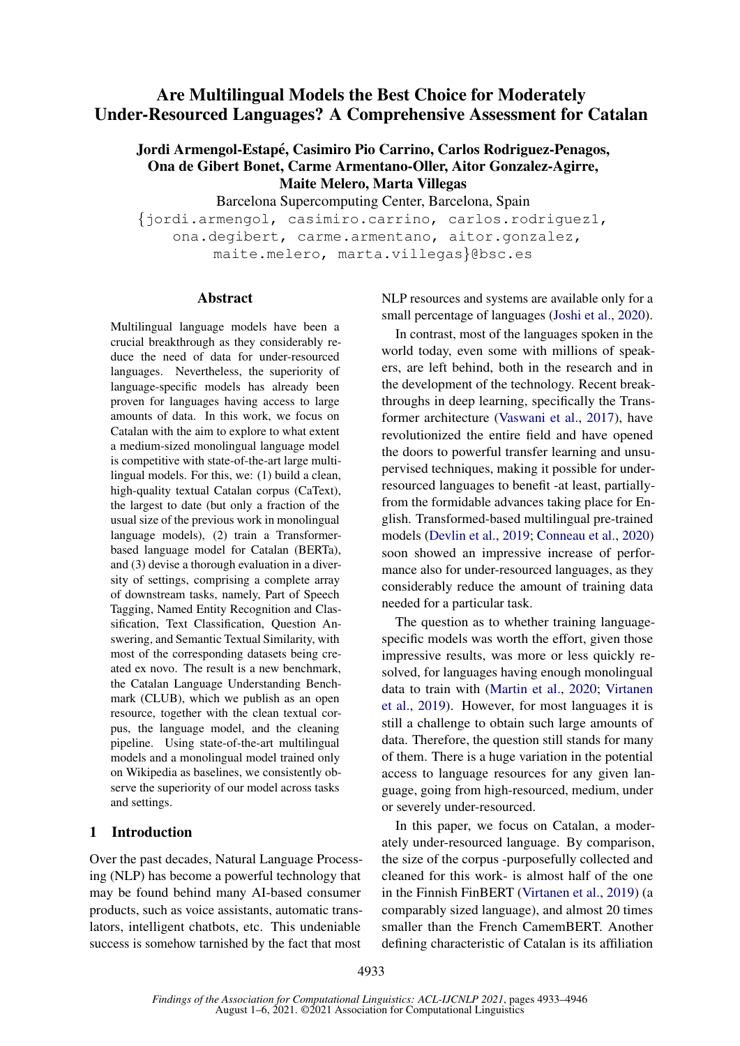## Are Multilingual Models the Best Choice for Moderately Under-Resourced Languages? A Comprehensive Assessment for Catalan

## Jordi Armengol-Estapé, Casimiro Pio Carrino, Carlos Rodriguez-Penagos, Ona de Gibert Bonet, Carme Armentano-Oller, Aitor Gonzalez-Agirre, Maite Melero, Marta Villegas

Barcelona Supercomputing Center, Barcelona, Spain

{jordi.armengol, casimiro.carrino, carlos.rodriguez1, ona.degibert, carme.armentano, aitor.gonzalez, maite.melero, marta.villegas}@bsc.es

#### Abstract

Multilingual language models have been a crucial breakthrough as they considerably reduce the need of data for under-resourced languages. Nevertheless, the superiority of language-specific models has already been proven for languages having access to large amounts of data. In this work, we focus on Catalan with the aim to explore to what extent a medium-sized monolingual language model is competitive with state-of-the-art large multilingual models. For this, we: (1) build a clean, high-quality textual Catalan corpus (CaText), the largest to date (but only a fraction of the usual size of the previous work in monolingual language models), (2) train a Transformerbased language model for Catalan (BERTa), and (3) devise a thorough evaluation in a diversity of settings, comprising a complete array of downstream tasks, namely, Part of Speech Tagging, Named Entity Recognition and Classification, Text Classification, Question Answering, and Semantic Textual Similarity, with most of the corresponding datasets being created ex novo. The result is a new benchmark, the Catalan Language Understanding Benchmark (CLUB), which we publish as an open resource, together with the clean textual corpus, the language model, and the cleaning pipeline. Using state-of-the-art multilingual models and a monolingual model trained only on Wikipedia as baselines, we consistently observe the superiority of our model across tasks and settings.

## 1 Introduction

Over the past decades, Natural Language Processing (NLP) has become a powerful technology that may be found behind many AI-based consumer products, such as voice assistants, automatic translators, intelligent chatbots, etc. This undeniable success is somehow tarnished by the fact that most

NLP resources and systems are available only for a small percentage of languages [\(Joshi et al.,](#page-9-0) [2020\)](#page-9-0).

In contrast, most of the languages spoken in the world today, even some with millions of speakers, are left behind, both in the research and in the development of the technology. Recent breakthroughs in deep learning, specifically the Transformer architecture [\(Vaswani et al.,](#page-10-0) [2017\)](#page-10-0), have revolutionized the entire field and have opened the doors to powerful transfer learning and unsupervised techniques, making it possible for underresourced languages to benefit -at least, partiallyfrom the formidable advances taking place for English. Transformed-based multilingual pre-trained models [\(Devlin et al.,](#page-9-1) [2019;](#page-9-1) [Conneau et al.,](#page-9-2) [2020\)](#page-9-2) soon showed an impressive increase of performance also for under-resourced languages, as they considerably reduce the amount of training data needed for a particular task.

The question as to whether training languagespecific models was worth the effort, given those impressive results, was more or less quickly resolved, for languages having enough monolingual data to train with [\(Martin et al.,](#page-9-3) [2020;](#page-9-3) [Virtanen](#page-10-1) [et al.,](#page-10-1) [2019\)](#page-10-1). However, for most languages it is still a challenge to obtain such large amounts of data. Therefore, the question still stands for many of them. There is a huge variation in the potential access to language resources for any given language, going from high-resourced, medium, under or severely under-resourced.

In this paper, we focus on Catalan, a moderately under-resourced language. By comparison, the size of the corpus -purposefully collected and cleaned for this work- is almost half of the one in the Finnish FinBERT [\(Virtanen et al.,](#page-10-1) [2019\)](#page-10-1) (a comparably sized language), and almost 20 times smaller than the French CamemBERT. Another defining characteristic of Catalan is its affiliation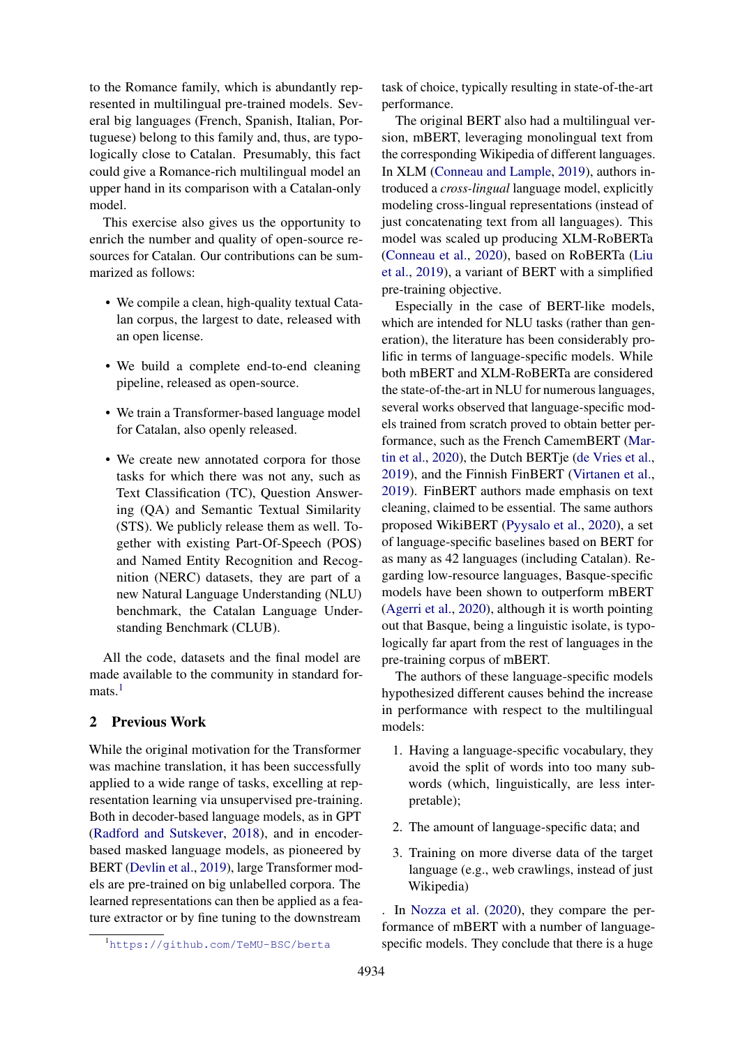to the Romance family, which is abundantly represented in multilingual pre-trained models. Several big languages (French, Spanish, Italian, Portuguese) belong to this family and, thus, are typologically close to Catalan. Presumably, this fact could give a Romance-rich multilingual model an upper hand in its comparison with a Catalan-only model.

This exercise also gives us the opportunity to enrich the number and quality of open-source resources for Catalan. Our contributions can be summarized as follows:

- We compile a clean, high-quality textual Catalan corpus, the largest to date, released with an open license.
- We build a complete end-to-end cleaning pipeline, released as open-source.
- We train a Transformer-based language model for Catalan, also openly released.
- We create new annotated corpora for those tasks for which there was not any, such as Text Classification (TC), Question Answering (QA) and Semantic Textual Similarity (STS). We publicly release them as well. Together with existing Part-Of-Speech (POS) and Named Entity Recognition and Recognition (NERC) datasets, they are part of a new Natural Language Understanding (NLU) benchmark, the Catalan Language Understanding Benchmark (CLUB).

All the code, datasets and the final model are made available to the community in standard formats $1$ 

## 2 Previous Work

While the original motivation for the Transformer was machine translation, it has been successfully applied to a wide range of tasks, excelling at representation learning via unsupervised pre-training. Both in decoder-based language models, as in GPT [\(Radford and Sutskever,](#page-9-4) [2018\)](#page-9-4), and in encoderbased masked language models, as pioneered by BERT [\(Devlin et al.,](#page-9-1) [2019\)](#page-9-1), large Transformer models are pre-trained on big unlabelled corpora. The learned representations can then be applied as a feature extractor or by fine tuning to the downstream

task of choice, typically resulting in state-of-the-art performance.

The original BERT also had a multilingual version, mBERT, leveraging monolingual text from the corresponding Wikipedia of different languages. In XLM [\(Conneau and Lample,](#page-9-5) [2019\)](#page-9-5), authors introduced a *cross-lingual* language model, explicitly modeling cross-lingual representations (instead of just concatenating text from all languages). This model was scaled up producing XLM-RoBERTa [\(Conneau et al.,](#page-9-2) [2020\)](#page-9-2), based on RoBERTa [\(Liu](#page-9-6) [et al.,](#page-9-6) [2019\)](#page-9-6), a variant of BERT with a simplified pre-training objective.

Especially in the case of BERT-like models, which are intended for NLU tasks (rather than generation), the literature has been considerably prolific in terms of language-specific models. While both mBERT and XLM-RoBERTa are considered the state-of-the-art in NLU for numerous languages, several works observed that language-specific models trained from scratch proved to obtain better performance, such as the French CamemBERT [\(Mar](#page-9-3)[tin et al.,](#page-9-3) [2020\)](#page-9-3), the Dutch BERTje [\(de Vries et al.,](#page-10-2) [2019\)](#page-10-2), and the Finnish FinBERT [\(Virtanen et al.,](#page-10-1) [2019\)](#page-10-1). FinBERT authors made emphasis on text cleaning, claimed to be essential. The same authors proposed WikiBERT [\(Pyysalo et al.,](#page-9-7) [2020\)](#page-9-7), a set of language-specific baselines based on BERT for as many as 42 languages (including Catalan). Regarding low-resource languages, Basque-specific models have been shown to outperform mBERT [\(Agerri et al.,](#page-8-0) [2020\)](#page-8-0), although it is worth pointing out that Basque, being a linguistic isolate, is typologically far apart from the rest of languages in the pre-training corpus of mBERT.

The authors of these language-specific models hypothesized different causes behind the increase in performance with respect to the multilingual models:

- 1. Having a language-specific vocabulary, they avoid the split of words into too many subwords (which, linguistically, are less interpretable);
- 2. The amount of language-specific data; and
- 3. Training on more diverse data of the target language (e.g., web crawlings, instead of just Wikipedia)

. In [Nozza et al.](#page-9-8) [\(2020\)](#page-9-8), they compare the performance of mBERT with a number of languagespecific models. They conclude that there is a huge

<span id="page-1-0"></span><sup>1</sup><https://github.com/TeMU-BSC/berta>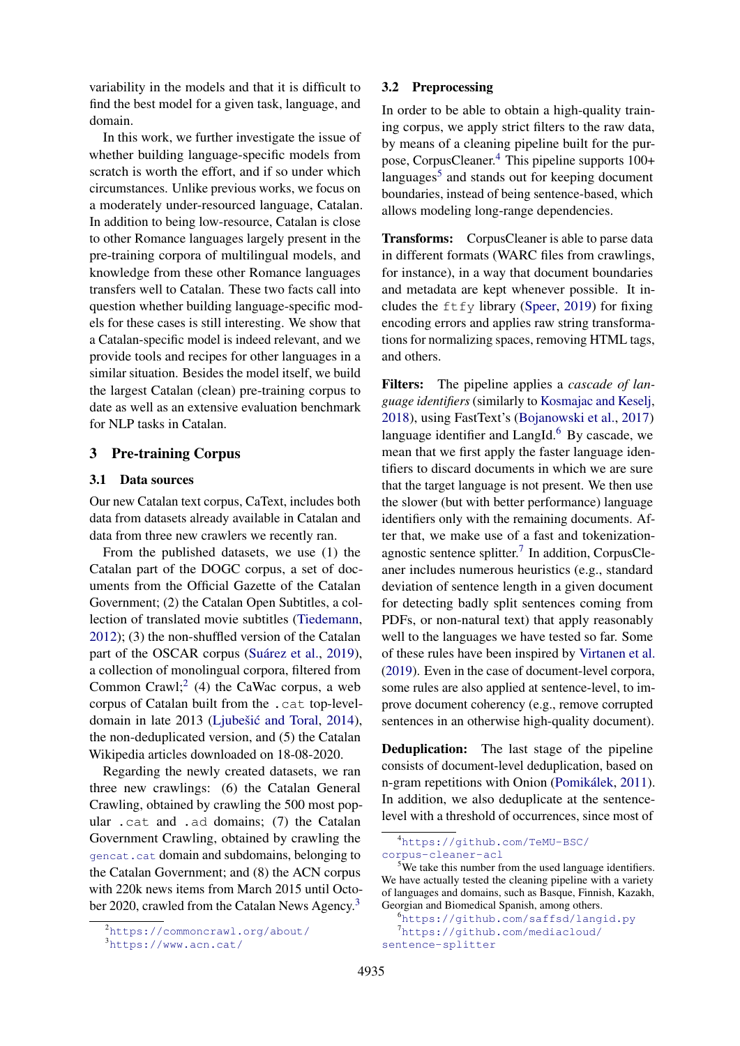variability in the models and that it is difficult to find the best model for a given task, language, and domain.

In this work, we further investigate the issue of whether building language-specific models from scratch is worth the effort, and if so under which circumstances. Unlike previous works, we focus on a moderately under-resourced language, Catalan. In addition to being low-resource, Catalan is close to other Romance languages largely present in the pre-training corpora of multilingual models, and knowledge from these other Romance languages transfers well to Catalan. These two facts call into question whether building language-specific models for these cases is still interesting. We show that a Catalan-specific model is indeed relevant, and we provide tools and recipes for other languages in a similar situation. Besides the model itself, we build the largest Catalan (clean) pre-training corpus to date as well as an extensive evaluation benchmark for NLP tasks in Catalan.

## 3 Pre-training Corpus

#### <span id="page-2-6"></span>3.1 Data sources

Our new Catalan text corpus, CaText, includes both data from datasets already available in Catalan and data from three new crawlers we recently ran.

From the published datasets, we use (1) the Catalan part of the DOGC corpus, a set of documents from the Official Gazette of the Catalan Government; (2) the Catalan Open Subtitles, a collection of translated movie subtitles [\(Tiedemann,](#page-10-3) [2012\)](#page-10-3); (3) the non-shuffled version of the Catalan part of the OSCAR corpus (Suárez et al., [2019\)](#page-10-4), a collection of monolingual corpora, filtered from Common Crawl;<sup>[2](#page-2-0)</sup> (4) the CaWac corpus, a web corpus of Catalan built from the .cat top-level-domain in late 2013 (Ljubešić and Toral, [2014\)](#page-9-9), the non-deduplicated version, and (5) the Catalan Wikipedia articles downloaded on 18-08-2020.

Regarding the newly created datasets, we ran three new crawlings: (6) the Catalan General Crawling, obtained by crawling the 500 most popular .cat and .ad domains; (7) the Catalan Government Crawling, obtained by crawling the <gencat.cat> domain and subdomains, belonging to the Catalan Government; and (8) the ACN corpus with 220k news items from March 2015 until October 2020, crawled from the Catalan News Agency.[3](#page-2-1)

#### 3.2 Preprocessing

In order to be able to obtain a high-quality training corpus, we apply strict filters to the raw data, by means of a cleaning pipeline built for the purpose, CorpusCleaner.[4](#page-2-2) This pipeline supports 100+ languages<sup>[5](#page-2-3)</sup> and stands out for keeping document boundaries, instead of being sentence-based, which allows modeling long-range dependencies.

Transforms: CorpusCleaner is able to parse data in different formats (WARC files from crawlings, for instance), in a way that document boundaries and metadata are kept whenever possible. It includes the  $f \circ f$  library [\(Speer,](#page-10-5) [2019\)](#page-10-5) for fixing encoding errors and applies raw string transformations for normalizing spaces, removing HTML tags, and others.

Filters: The pipeline applies a *cascade of language identifiers* (similarly to [Kosmajac and Keselj,](#page-9-10) [2018\)](#page-9-10), using FastText's [\(Bojanowski et al.,](#page-8-1) [2017\)](#page-8-1) language identifier and  $LangId<sup>6</sup>$  $LangId<sup>6</sup>$  $LangId<sup>6</sup>$  By cascade, we mean that we first apply the faster language identifiers to discard documents in which we are sure that the target language is not present. We then use the slower (but with better performance) language identifiers only with the remaining documents. After that, we make use of a fast and tokenization-agnostic sentence splitter.<sup>[7](#page-2-5)</sup> In addition, CorpusCleaner includes numerous heuristics (e.g., standard deviation of sentence length in a given document for detecting badly split sentences coming from PDFs, or non-natural text) that apply reasonably well to the languages we have tested so far. Some of these rules have been inspired by [Virtanen et al.](#page-10-1) [\(2019\)](#page-10-1). Even in the case of document-level corpora, some rules are also applied at sentence-level, to improve document coherency (e.g., remove corrupted sentences in an otherwise high-quality document).

Deduplication: The last stage of the pipeline consists of document-level deduplication, based on n-gram repetitions with Onion (Pomikálek, [2011\)](#page-9-11). In addition, we also deduplicate at the sentencelevel with a threshold of occurrences, since most of

<span id="page-2-0"></span><sup>2</sup><https://commoncrawl.org/about/>

<span id="page-2-1"></span><sup>3</sup><https://www.acn.cat/>

<span id="page-2-2"></span><sup>4</sup>[https://github.com/TeMU-BSC/](https://github.com/TeMU-BSC/corpus-cleaner-acl) [corpus-cleaner-acl](https://github.com/TeMU-BSC/corpus-cleaner-acl)

<span id="page-2-3"></span><sup>&</sup>lt;sup>5</sup>We take this number from the used language identifiers. We have actually tested the cleaning pipeline with a variety of languages and domains, such as Basque, Finnish, Kazakh, Georgian and Biomedical Spanish, among others.

<span id="page-2-5"></span><span id="page-2-4"></span><sup>6</sup><https://github.com/saffsd/langid.py> <sup>7</sup>[https://github.com/mediacloud/](https://github.com/mediacloud/sentence-splitter) [sentence-splitter](https://github.com/mediacloud/sentence-splitter)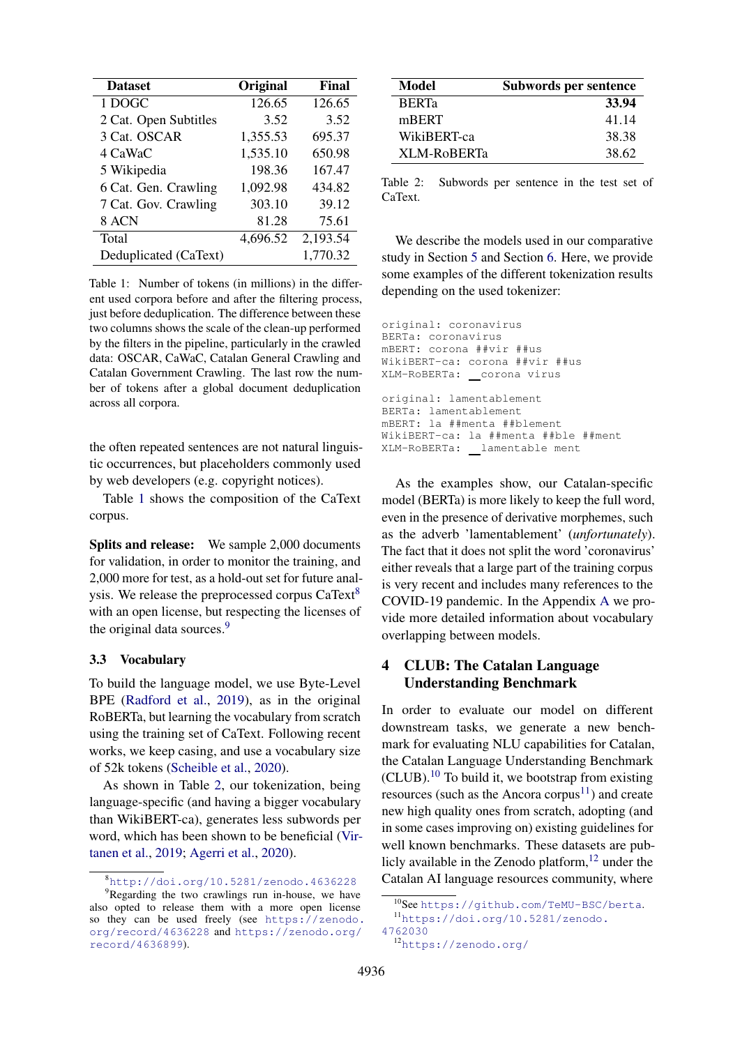<span id="page-3-0"></span>

| <b>Dataset</b>        | Original | Final    |
|-----------------------|----------|----------|
| 1 DOGC                | 126.65   | 126.65   |
| 2 Cat. Open Subtitles | 3.52     | 3.52     |
| 3 Cat. OSCAR          | 1,355.53 | 695.37   |
| 4 CaWaC               | 1,535.10 | 650.98   |
| 5 Wikipedia           | 198.36   | 167.47   |
| 6 Cat. Gen. Crawling  | 1,092.98 | 434.82   |
| 7 Cat. Gov. Crawling  | 303.10   | 39.12    |
| 8 ACN                 | 81.28    | 75.61    |
| Total                 | 4,696.52 | 2,193.54 |
| Deduplicated (CaText) |          | 1,770.32 |

Table 1: Number of tokens (in millions) in the different used corpora before and after the filtering process, just before deduplication. The difference between these two columns shows the scale of the clean-up performed by the filters in the pipeline, particularly in the crawled data: OSCAR, CaWaC, Catalan General Crawling and Catalan Government Crawling. The last row the number of tokens after a global document deduplication across all corpora.

the often repeated sentences are not natural linguistic occurrences, but placeholders commonly used by web developers (e.g. copyright notices).

Table [1](#page-3-0) shows the composition of the CaText corpus.

Splits and release: We sample 2,000 documents for validation, in order to monitor the training, and 2,000 more for test, as a hold-out set for future anal-ysis. We release the preprocessed corpus CaText<sup>[8](#page-3-1)</sup> with an open license, but respecting the licenses of the original data sources.<sup>[9](#page-3-2)</sup>

#### 3.3 Vocabulary

To build the language model, we use Byte-Level BPE [\(Radford et al.,](#page-9-12) [2019\)](#page-9-12), as in the original RoBERTa, but learning the vocabulary from scratch using the training set of CaText. Following recent works, we keep casing, and use a vocabulary size of 52k tokens [\(Scheible et al.,](#page-10-6) [2020\)](#page-10-6).

As shown in Table [2,](#page-3-3) our tokenization, being language-specific (and having a bigger vocabulary than WikiBERT-ca), generates less subwords per word, which has been shown to be beneficial [\(Vir](#page-10-1)[tanen et al.,](#page-10-1) [2019;](#page-10-1) [Agerri et al.,](#page-8-0) [2020\)](#page-8-0).

<span id="page-3-3"></span>

| Model        | Subwords per sentence |  |  |
|--------------|-----------------------|--|--|
| <b>BERTa</b> | 33.94                 |  |  |
| mBERT        | 41.14                 |  |  |
| WikiBERT-ca  | 38.38                 |  |  |
| XLM-RoBERTa  | 38.62                 |  |  |

Table 2: Subwords per sentence in the test set of CaText.

We describe the models used in our comparative study in Section [5](#page-5-0) and Section [6.](#page-5-1) Here, we provide some examples of the different tokenization results depending on the used tokenizer:

```
original: coronavirus
BERTa: coronavirus
mBERT: corona ##vir ##us
WikiBERT-ca: corona ##vir ##us
XLM-RoBERTa: corona virus
original: lamentablement
BERTa: lamentablement
mBERT: la ##menta ##blement
WikiBERT-ca: la ##menta ##ble ##ment
XLM-RoBERTa: lamentable ment
```
As the examples show, our Catalan-specific model (BERTa) is more likely to keep the full word, even in the presence of derivative morphemes, such as the adverb 'lamentablement' (*unfortunately*). The fact that it does not split the word 'coronavirus' either reveals that a large part of the training corpus is very recent and includes many references to the COVID-19 pandemic. In the Appendix [A](#page-11-0) we provide more detailed information about vocabulary overlapping between models.

## 4 CLUB: The Catalan Language Understanding Benchmark

In order to evaluate our model on different downstream tasks, we generate a new benchmark for evaluating NLU capabilities for Catalan, the Catalan Language Understanding Benchmark  $(CLUB).<sup>10</sup>$  $(CLUB).<sup>10</sup>$  $(CLUB).<sup>10</sup>$  To build it, we bootstrap from existing resources (such as the Ancora corpus<sup>[11](#page-3-5)</sup>) and create new high quality ones from scratch, adopting (and in some cases improving on) existing guidelines for well known benchmarks. These datasets are publicly available in the Zenodo platform, $12$  under the Catalan AI language resources community, where

<span id="page-3-2"></span><span id="page-3-1"></span><sup>8</sup><http://doi.org/10.5281/zenodo.4636228>

<sup>&</sup>lt;sup>9</sup>Regarding the two crawlings run in-house, we have also opted to release them with a more open license so they can be used freely (see [https://zenodo.](https://zenodo.org/record/4636228) [org/record/4636228](https://zenodo.org/record/4636228) and [https://zenodo.org/](https://zenodo.org/record/4636899) [record/4636899](https://zenodo.org/record/4636899)).

<span id="page-3-5"></span><span id="page-3-4"></span><sup>10</sup>See <https://github.com/TeMU-BSC/berta>. <sup>11</sup>[https://doi.org/10.5281/zenodo.](https://doi.org/10.5281/zenodo.4762030)

[<sup>4762030</sup>](https://doi.org/10.5281/zenodo.4762030)

<span id="page-3-6"></span><sup>12</sup><https://zenodo.org/>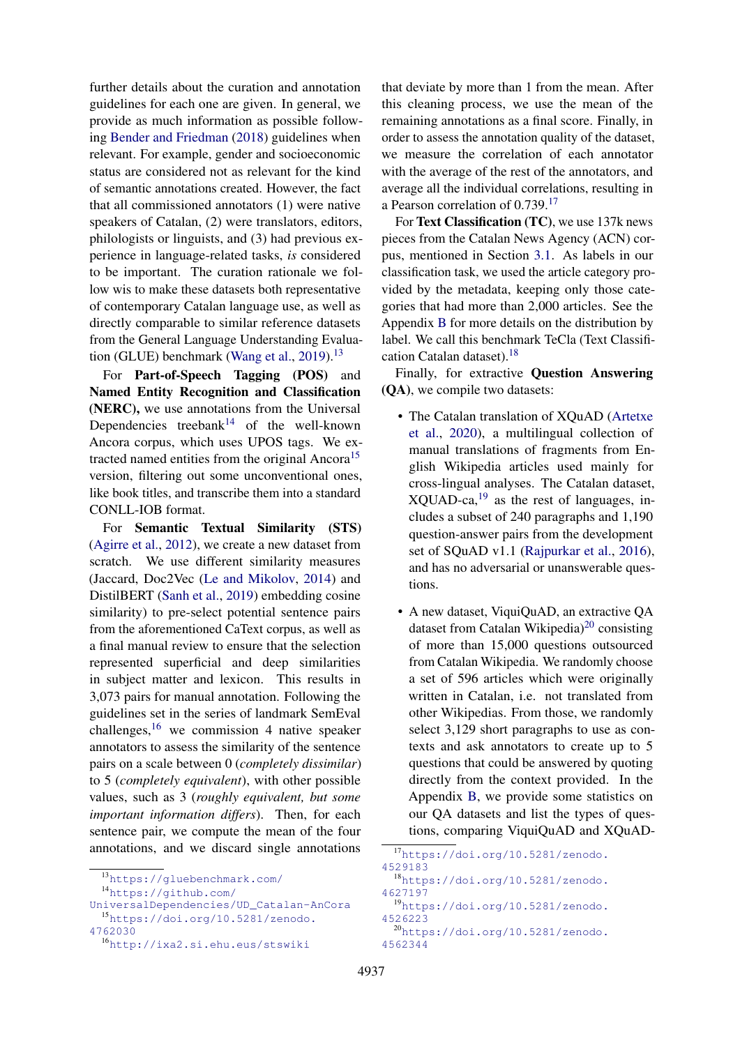further details about the curation and annotation guidelines for each one are given. In general, we provide as much information as possible following [Bender and Friedman](#page-8-2) [\(2018\)](#page-8-2) guidelines when relevant. For example, gender and socioeconomic status are considered not as relevant for the kind of semantic annotations created. However, the fact that all commissioned annotators (1) were native speakers of Catalan, (2) were translators, editors, philologists or linguists, and (3) had previous experience in language-related tasks, *is* considered to be important. The curation rationale we follow wis to make these datasets both representative of contemporary Catalan language use, as well as directly comparable to similar reference datasets from the General Language Understanding Evalua-tion (GLUE) benchmark [\(Wang et al.,](#page-10-7) [2019\)](#page-10-7).<sup>[13](#page-4-0)</sup>

For Part-of-Speech Tagging (POS) and Named Entity Recognition and Classification (NERC), we use annotations from the Universal Dependencies treebank $14$  of the well-known Ancora corpus, which uses UPOS tags. We ex-tracted named entities from the original Ancora<sup>[15](#page-4-2)</sup> version, filtering out some unconventional ones, like book titles, and transcribe them into a standard CONLL-IOB format.

For Semantic Textual Similarity (STS) [\(Agirre et al.,](#page-8-3) [2012\)](#page-8-3), we create a new dataset from scratch. We use different similarity measures (Jaccard, Doc2Vec [\(Le and Mikolov,](#page-9-13) [2014\)](#page-9-13) and DistilBERT [\(Sanh et al.,](#page-10-8) [2019\)](#page-10-8) embedding cosine similarity) to pre-select potential sentence pairs from the aforementioned CaText corpus, as well as a final manual review to ensure that the selection represented superficial and deep similarities in subject matter and lexicon. This results in 3,073 pairs for manual annotation. Following the guidelines set in the series of landmark SemEval challenges,  $16$  we commission 4 native speaker annotators to assess the similarity of the sentence pairs on a scale between 0 (*completely dissimilar*) to 5 (*completely equivalent*), with other possible values, such as 3 (*roughly equivalent, but some important information differs*). Then, for each sentence pair, we compute the mean of the four annotations, and we discard single annotations

<span id="page-4-0"></span><sup>13</sup><https://gluebenchmark.com/>

<span id="page-4-1"></span><sup>14</sup>[https://github.com/](https://github.com/UniversalDependencies/UD_Catalan-AnCora)

that deviate by more than 1 from the mean. After this cleaning process, we use the mean of the remaining annotations as a final score. Finally, in order to assess the annotation quality of the dataset, we measure the correlation of each annotator with the average of the rest of the annotators, and average all the individual correlations, resulting in a Pearson correlation of 0.739.<sup>[17](#page-4-4)</sup>

For Text Classification (TC), we use 137k news pieces from the Catalan News Agency (ACN) corpus, mentioned in Section [3.1.](#page-2-6) As labels in our classification task, we used the article category provided by the metadata, keeping only those categories that had more than 2,000 articles. See the Appendix [B](#page-11-1) for more details on the distribution by label. We call this benchmark TeCla (Text Classifi-cation Catalan dataset).<sup>[18](#page-4-5)</sup>

Finally, for extractive Question Answering (QA), we compile two datasets:

- The Catalan translation of XQuAD [\(Artetxe](#page-8-4) [et al.,](#page-8-4) [2020\)](#page-8-4), a multilingual collection of manual translations of fragments from English Wikipedia articles used mainly for cross-lingual analyses. The Catalan dataset,  $XQUAD-ca<sub>1</sub><sup>19</sup>$  $XQUAD-ca<sub>1</sub><sup>19</sup>$  $XQUAD-ca<sub>1</sub><sup>19</sup>$  as the rest of languages, includes a subset of 240 paragraphs and 1,190 question-answer pairs from the development set of SQuAD v1.1 [\(Rajpurkar et al.,](#page-9-14) [2016\)](#page-9-14), and has no adversarial or unanswerable questions.
- A new dataset, ViquiQuAD, an extractive QA dataset from Catalan Wikipedia)<sup>[20](#page-4-7)</sup> consisting of more than 15,000 questions outsourced from Catalan Wikipedia. We randomly choose a set of 596 articles which were originally written in Catalan, i.e. not translated from other Wikipedias. From those, we randomly select 3,129 short paragraphs to use as contexts and ask annotators to create up to 5 questions that could be answered by quoting directly from the context provided. In the Appendix [B,](#page-11-1) we provide some statistics on our QA datasets and list the types of questions, comparing ViquiQuAD and XQuAD-

<span id="page-4-7"></span><span id="page-4-6"></span>[4562344](https://doi.org/10.5281/zenodo.4562344)

<span id="page-4-2"></span>[UniversalDependencies/UD\\_Catalan-AnCora](https://github.com/UniversalDependencies/UD_Catalan-AnCora) <sup>15</sup>[https://doi.org/10.5281/zenodo.](https://doi.org/10.5281/zenodo.4762030)

[<sup>4762030</sup>](https://doi.org/10.5281/zenodo.4762030)

<span id="page-4-3"></span><sup>16</sup><http://ixa2.si.ehu.eus/stswiki>

<span id="page-4-5"></span><span id="page-4-4"></span><sup>17</sup>[https://doi.org/10.5281/zenodo.](https://doi.org/10.5281/zenodo.4529183) [4529183](https://doi.org/10.5281/zenodo.4529183) <sup>18</sup>[https://doi.org/10.5281/zenodo.](https://doi.org/10.5281/zenodo.4627197) [4627197](https://doi.org/10.5281/zenodo.4627197) <sup>19</sup>[https://doi.org/10.5281/zenodo.](https://doi.org/10.5281/zenodo.4526223) [4526223](https://doi.org/10.5281/zenodo.4526223) <sup>20</sup>[https://doi.org/10.5281/zenodo.](https://doi.org/10.5281/zenodo.4562344)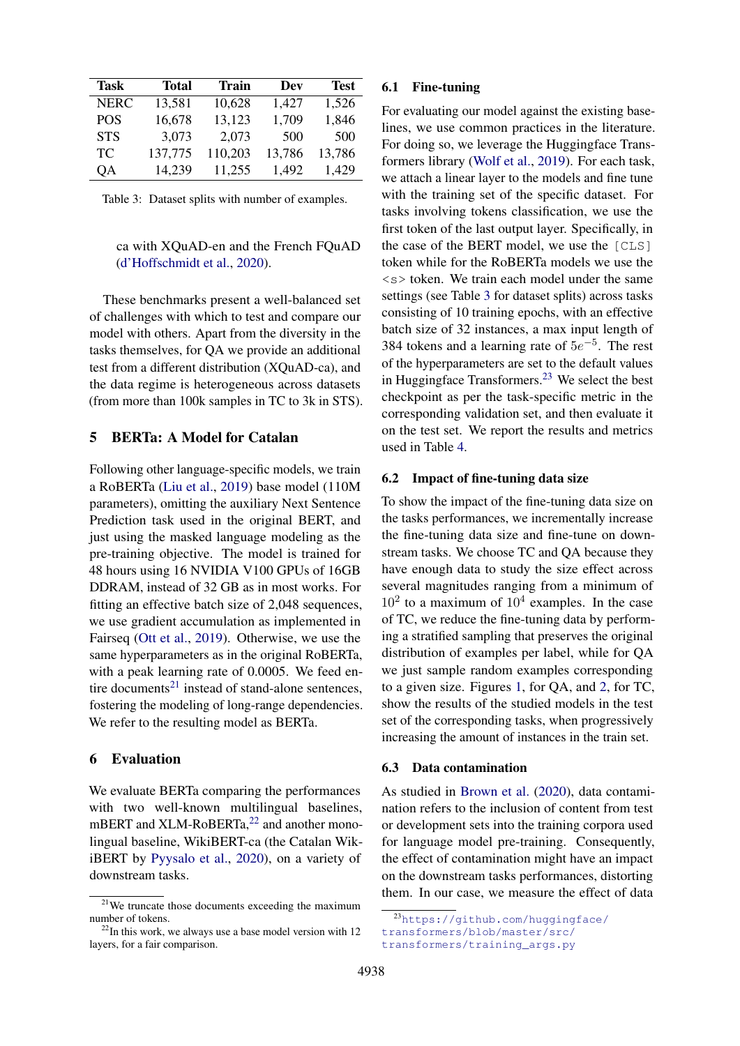<span id="page-5-4"></span>

| Task        | Total   | Train   | Dev    | <b>Test</b> |
|-------------|---------|---------|--------|-------------|
| <b>NERC</b> | 13,581  | 10,628  | 1,427  | 1,526       |
| <b>POS</b>  | 16,678  | 13,123  | 1,709  | 1,846       |
| <b>STS</b>  | 3,073   | 2,073   | 500    | 500         |
| TC          | 137,775 | 110,203 | 13,786 | 13,786      |
| QA          | 14,239  | 11,255  | 1,492  | 1,429       |

Table 3: Dataset splits with number of examples.

#### ca with XQuAD-en and the French FQuAD [\(d'Hoffschmidt et al.,](#page-9-15) [2020\)](#page-9-15).

These benchmarks present a well-balanced set of challenges with which to test and compare our model with others. Apart from the diversity in the tasks themselves, for QA we provide an additional test from a different distribution (XQuAD-ca), and the data regime is heterogeneous across datasets (from more than 100k samples in TC to 3k in STS).

## <span id="page-5-0"></span>5 BERTa: A Model for Catalan

Following other language-specific models, we train a RoBERTa [\(Liu et al.,](#page-9-6) [2019\)](#page-9-6) base model (110M parameters), omitting the auxiliary Next Sentence Prediction task used in the original BERT, and just using the masked language modeling as the pre-training objective. The model is trained for 48 hours using 16 NVIDIA V100 GPUs of 16GB DDRAM, instead of 32 GB as in most works. For fitting an effective batch size of 2,048 sequences, we use gradient accumulation as implemented in Fairseq [\(Ott et al.,](#page-9-16) [2019\)](#page-9-16). Otherwise, we use the same hyperparameters as in the original RoBERTa, with a peak learning rate of 0.0005. We feed en-tire documents<sup>[21](#page-5-2)</sup> instead of stand-alone sentences, fostering the modeling of long-range dependencies. We refer to the resulting model as BERTa.

#### <span id="page-5-1"></span>6 Evaluation

We evaluate BERTa comparing the performances with two well-known multilingual baselines, mBERT and XLM-RoBERTa,<sup>[22](#page-5-3)</sup> and another monolingual baseline, WikiBERT-ca (the Catalan WikiBERT by [Pyysalo et al.,](#page-9-7) [2020\)](#page-9-7), on a variety of downstream tasks.

#### 6.1 Fine-tuning

For evaluating our model against the existing baselines, we use common practices in the literature. For doing so, we leverage the Huggingface Transformers library [\(Wolf et al.,](#page-10-9) [2019\)](#page-10-9). For each task, we attach a linear layer to the models and fine tune with the training set of the specific dataset. For tasks involving tokens classification, we use the first token of the last output layer. Specifically, in the case of the BERT model, we use the [CLS] token while for the RoBERTa models we use the  $\langle s \rangle$  token. We train each model under the same settings (see Table [3](#page-5-4) for dataset splits) across tasks consisting of 10 training epochs, with an effective batch size of 32 instances, a max input length of 384 tokens and a learning rate of  $5e^{-5}$ . The rest of the hyperparameters are set to the default values in Huggingface Transformers.<sup>[23](#page-5-5)</sup> We select the best checkpoint as per the task-specific metric in the corresponding validation set, and then evaluate it on the test set. We report the results and metrics used in Table [4.](#page-6-0)

#### 6.2 Impact of fine-tuning data size

To show the impact of the fine-tuning data size on the tasks performances, we incrementally increase the fine-tuning data size and fine-tune on downstream tasks. We choose TC and QA because they have enough data to study the size effect across several magnitudes ranging from a minimum of  $10<sup>2</sup>$  to a maximum of  $10<sup>4</sup>$  examples. In the case of TC, we reduce the fine-tuning data by performing a stratified sampling that preserves the original distribution of examples per label, while for QA we just sample random examples corresponding to a given size. Figures [1,](#page-6-1) for QA, and [2,](#page-6-2) for TC, show the results of the studied models in the test set of the corresponding tasks, when progressively increasing the amount of instances in the train set.

#### <span id="page-5-6"></span>6.3 Data contamination

As studied in [Brown et al.](#page-8-5) [\(2020\)](#page-8-5), data contamination refers to the inclusion of content from test or development sets into the training corpora used for language model pre-training. Consequently, the effect of contamination might have an impact on the downstream tasks performances, distorting them. In our case, we measure the effect of data

<span id="page-5-2"></span><sup>21</sup>We truncate those documents exceeding the maximum number of tokens.

<span id="page-5-3"></span> $^{22}$ In this work, we always use a base model version with 12 layers, for a fair comparison.

<span id="page-5-5"></span><sup>23</sup>[https://github.com/huggingface/](https://github.com/huggingface/transformers/blob/master/src/transformers/training_args.py) [transformers/blob/master/src/](https://github.com/huggingface/transformers/blob/master/src/transformers/training_args.py) [transformers/training\\_args.py](https://github.com/huggingface/transformers/blob/master/src/transformers/training_args.py)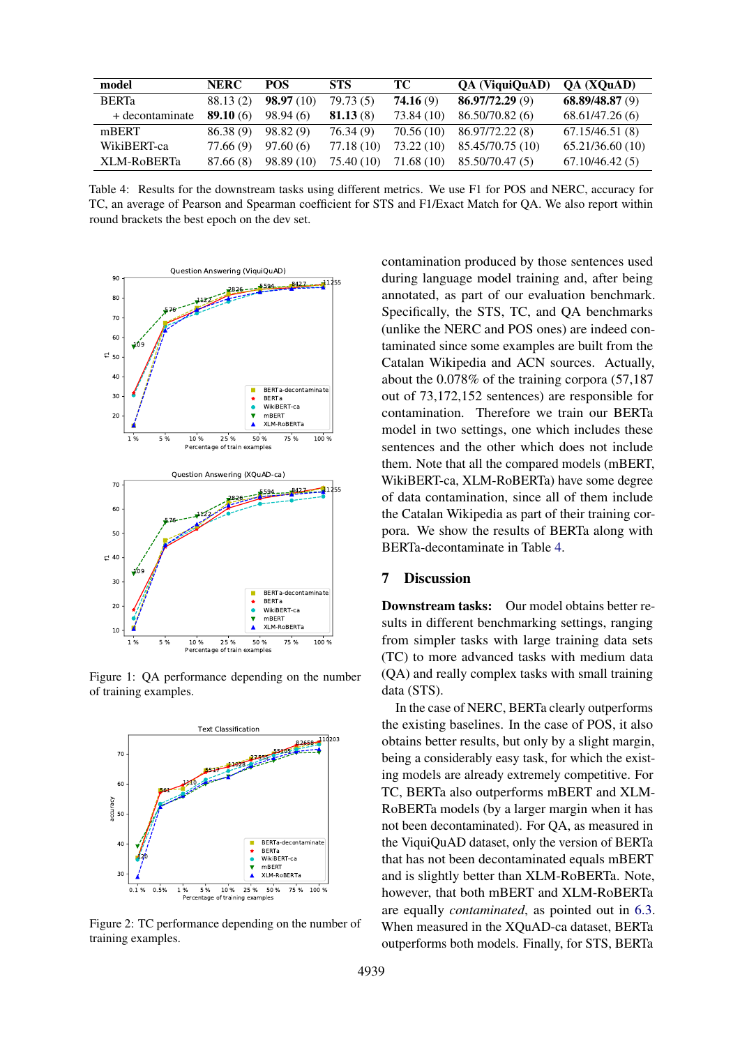<span id="page-6-0"></span>

| model           | <b>NERC</b> | <b>POS</b> | <b>STS</b> | TC -       | QA (ViquiQuAD)   | <b>OA</b> ( <b>XOuAD</b> ) |
|-----------------|-------------|------------|------------|------------|------------------|----------------------------|
| <b>BERT</b> a   | 88.13(2)    | 98.97(10)  | 79.73(5)   | 74.16(9)   | 86.97/72.29(9)   | 68.89/48.87(9)             |
| + decontaminate | 89.10(6)    | 98.94(6)   | 81.13(8)   | 73.84 (10) | 86.50/70.82 (6)  | 68.61/47.26 (6)            |
| mBERT           | 86.38(9)    | 98.82(9)   | 76.34(9)   | 70.56 (10) | 86.97/72.22 (8)  | 67.15/46.51(8)             |
| WikiBERT-ca     | 77.66 (9)   | 97.60(6)   | 77.18 (10) | 73.22 (10) | 85.45/70.75 (10) | 65.21/36.60(10)            |
| XLM-RoBERTa     | 87.66 (8)   | 98.89 (10) | 75.40 (10) | 71.68 (10) | 85.50/70.47 (5)  | 67.10/46.42(5)             |

Table 4: Results for the downstream tasks using different metrics. We use F1 for POS and NERC, accuracy for TC, an average of Pearson and Spearman coefficient for STS and F1/Exact Match for QA. We also report within round brackets the best epoch on the dev set.

<span id="page-6-1"></span>

Figure 1: QA performance depending on the number of training examples.

<span id="page-6-2"></span>

Figure 2: TC performance depending on the number of training examples.

contamination produced by those sentences used during language model training and, after being annotated, as part of our evaluation benchmark. Specifically, the STS, TC, and QA benchmarks (unlike the NERC and POS ones) are indeed contaminated since some examples are built from the Catalan Wikipedia and ACN sources. Actually, about the 0.078% of the training corpora (57,187 out of 73,172,152 sentences) are responsible for contamination. Therefore we train our BERTa model in two settings, one which includes these sentences and the other which does not include them. Note that all the compared models (mBERT, WikiBERT-ca, XLM-RoBERTa) have some degree of data contamination, since all of them include the Catalan Wikipedia as part of their training corpora. We show the results of BERTa along with BERTa-decontaminate in Table [4.](#page-6-0)

### 7 Discussion

Downstream tasks: Our model obtains better results in different benchmarking settings, ranging from simpler tasks with large training data sets (TC) to more advanced tasks with medium data (QA) and really complex tasks with small training data (STS).

In the case of NERC, BERTa clearly outperforms the existing baselines. In the case of POS, it also obtains better results, but only by a slight margin, being a considerably easy task, for which the existing models are already extremely competitive. For TC, BERTa also outperforms mBERT and XLM-RoBERTa models (by a larger margin when it has not been decontaminated). For QA, as measured in the ViquiQuAD dataset, only the version of BERTa that has not been decontaminated equals mBERT and is slightly better than XLM-RoBERTa. Note, however, that both mBERT and XLM-RoBERTa are equally *contaminated*, as pointed out in [6.3.](#page-5-6) When measured in the XQuAD-ca dataset, BERTa outperforms both models. Finally, for STS, BERTa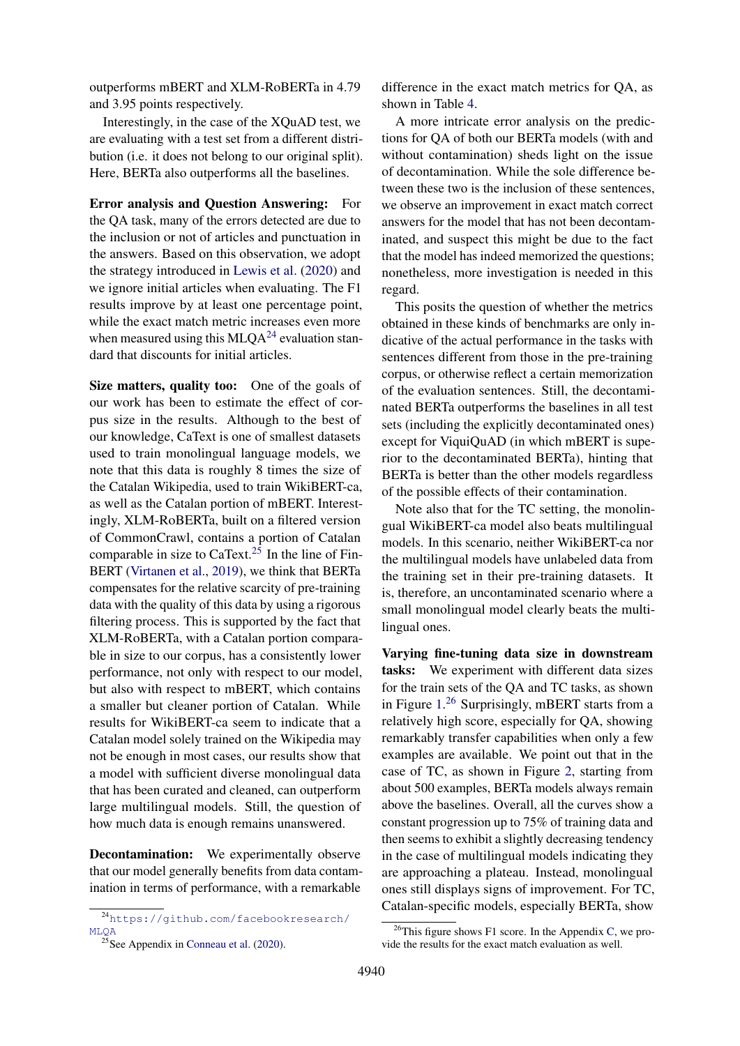outperforms mBERT and XLM-RoBERTa in 4.79 and 3.95 points respectively.

Interestingly, in the case of the XQuAD test, we are evaluating with a test set from a different distribution (i.e. it does not belong to our original split). Here, BERTa also outperforms all the baselines.

Error analysis and Question Answering: For the QA task, many of the errors detected are due to the inclusion or not of articles and punctuation in the answers. Based on this observation, we adopt the strategy introduced in [Lewis et al.](#page-9-17) [\(2020\)](#page-9-17) and we ignore initial articles when evaluating. The F1 results improve by at least one percentage point, while the exact match metric increases even more when measured using this  $MLQA^{24}$  $MLQA^{24}$  $MLQA^{24}$  evaluation standard that discounts for initial articles.

Size matters, quality too: One of the goals of our work has been to estimate the effect of corpus size in the results. Although to the best of our knowledge, CaText is one of smallest datasets used to train monolingual language models, we note that this data is roughly 8 times the size of the Catalan Wikipedia, used to train WikiBERT-ca, as well as the Catalan portion of mBERT. Interestingly, XLM-RoBERTa, built on a filtered version of CommonCrawl, contains a portion of Catalan comparable in size to CaText.<sup>[25](#page-7-1)</sup> In the line of Fin-BERT [\(Virtanen et al.,](#page-10-1) [2019\)](#page-10-1), we think that BERTa compensates for the relative scarcity of pre-training data with the quality of this data by using a rigorous filtering process. This is supported by the fact that XLM-RoBERTa, with a Catalan portion comparable in size to our corpus, has a consistently lower performance, not only with respect to our model, but also with respect to mBERT, which contains a smaller but cleaner portion of Catalan. While results for WikiBERT-ca seem to indicate that a Catalan model solely trained on the Wikipedia may not be enough in most cases, our results show that a model with sufficient diverse monolingual data that has been curated and cleaned, can outperform large multilingual models. Still, the question of how much data is enough remains unanswered.

Decontamination: We experimentally observe that our model generally benefits from data contamination in terms of performance, with a remarkable

difference in the exact match metrics for QA, as shown in Table [4.](#page-6-0)

A more intricate error analysis on the predictions for QA of both our BERTa models (with and without contamination) sheds light on the issue of decontamination. While the sole difference between these two is the inclusion of these sentences, we observe an improvement in exact match correct answers for the model that has not been decontaminated, and suspect this might be due to the fact that the model has indeed memorized the questions; nonetheless, more investigation is needed in this regard.

This posits the question of whether the metrics obtained in these kinds of benchmarks are only indicative of the actual performance in the tasks with sentences different from those in the pre-training corpus, or otherwise reflect a certain memorization of the evaluation sentences. Still, the decontaminated BERTa outperforms the baselines in all test sets (including the explicitly decontaminated ones) except for ViquiQuAD (in which mBERT is superior to the decontaminated BERTa), hinting that BERTa is better than the other models regardless of the possible effects of their contamination.

Note also that for the TC setting, the monolingual WikiBERT-ca model also beats multilingual models. In this scenario, neither WikiBERT-ca nor the multilingual models have unlabeled data from the training set in their pre-training datasets. It is, therefore, an uncontaminated scenario where a small monolingual model clearly beats the multilingual ones.

Varying fine-tuning data size in downstream tasks: We experiment with different data sizes for the train sets of the QA and TC tasks, as shown in Figure [1.](#page-6-1)<sup>[26](#page-7-2)</sup> Surprisingly, mBERT starts from a relatively high score, especially for QA, showing remarkably transfer capabilities when only a few examples are available. We point out that in the case of TC, as shown in Figure [2,](#page-6-2) starting from about 500 examples, BERTa models always remain above the baselines. Overall, all the curves show a constant progression up to 75% of training data and then seems to exhibit a slightly decreasing tendency in the case of multilingual models indicating they are approaching a plateau. Instead, monolingual ones still displays signs of improvement. For TC, Catalan-specific models, especially BERTa, show

<span id="page-7-0"></span><sup>24</sup>[https://github.com/facebookresearch/](https://github.com/facebookresearch/MLQA) [MLQA](https://github.com/facebookresearch/MLQA)

<span id="page-7-1"></span> $^{25}$ See Appendix in [Conneau et al.](#page-9-2) [\(2020\)](#page-9-2).

<span id="page-7-2"></span> $^{26}$ This figure shows F1 score. In the Appendix [C,](#page-13-0) we provide the results for the exact match evaluation as well.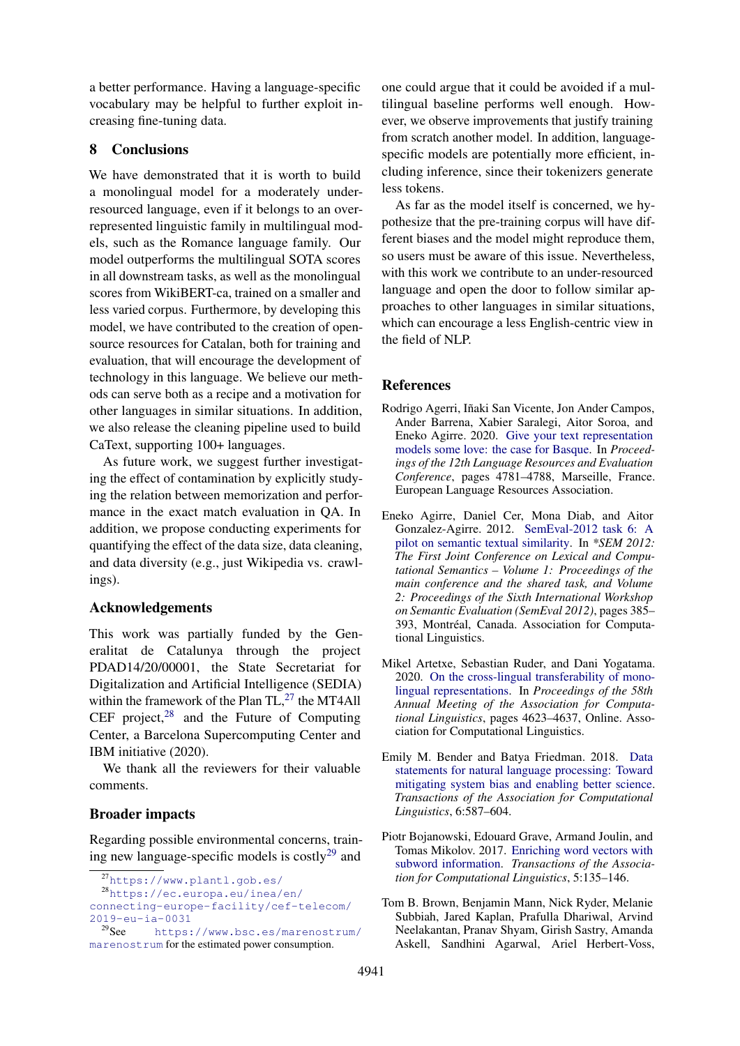a better performance. Having a language-specific vocabulary may be helpful to further exploit increasing fine-tuning data.

## 8 Conclusions

We have demonstrated that it is worth to build a monolingual model for a moderately underresourced language, even if it belongs to an overrepresented linguistic family in multilingual models, such as the Romance language family. Our model outperforms the multilingual SOTA scores in all downstream tasks, as well as the monolingual scores from WikiBERT-ca, trained on a smaller and less varied corpus. Furthermore, by developing this model, we have contributed to the creation of opensource resources for Catalan, both for training and evaluation, that will encourage the development of technology in this language. We believe our methods can serve both as a recipe and a motivation for other languages in similar situations. In addition, we also release the cleaning pipeline used to build CaText, supporting 100+ languages.

As future work, we suggest further investigating the effect of contamination by explicitly studying the relation between memorization and performance in the exact match evaluation in QA. In addition, we propose conducting experiments for quantifying the effect of the data size, data cleaning, and data diversity (e.g., just Wikipedia vs. crawlings).

## Acknowledgements

This work was partially funded by the Generalitat de Catalunya through the project PDAD14/20/00001, the State Secretariat for Digitalization and Artificial Intelligence (SEDIA) within the framework of the Plan  $TL^{27}$  $TL^{27}$  $TL^{27}$  the MT4All CEF project, $28$  and the Future of Computing Center, a Barcelona Supercomputing Center and IBM initiative (2020).

We thank all the reviewers for their valuable comments.

#### Broader impacts

Regarding possible environmental concerns, training new language-specific models is  $costly<sup>29</sup>$  $costly<sup>29</sup>$  $costly<sup>29</sup>$  and

one could argue that it could be avoided if a multilingual baseline performs well enough. However, we observe improvements that justify training from scratch another model. In addition, languagespecific models are potentially more efficient, including inference, since their tokenizers generate less tokens.

As far as the model itself is concerned, we hypothesize that the pre-training corpus will have different biases and the model might reproduce them, so users must be aware of this issue. Nevertheless, with this work we contribute to an under-resourced language and open the door to follow similar approaches to other languages in similar situations, which can encourage a less English-centric view in the field of NLP.

#### References

- <span id="page-8-0"></span>Rodrigo Agerri, Iñaki San Vicente, Jon Ander Campos, Ander Barrena, Xabier Saralegi, Aitor Soroa, and Eneko Agirre. 2020. [Give your text representation](https://www.aclweb.org/anthology/2020.lrec-1.588) [models some love: the case for Basque.](https://www.aclweb.org/anthology/2020.lrec-1.588) In *Proceedings of the 12th Language Resources and Evaluation Conference*, pages 4781–4788, Marseille, France. European Language Resources Association.
- <span id="page-8-3"></span>Eneko Agirre, Daniel Cer, Mona Diab, and Aitor Gonzalez-Agirre. 2012. [SemEval-2012 task 6: A](https://www.aclweb.org/anthology/S12-1051) [pilot on semantic textual similarity.](https://www.aclweb.org/anthology/S12-1051) In *\*SEM 2012: The First Joint Conference on Lexical and Computational Semantics – Volume 1: Proceedings of the main conference and the shared task, and Volume 2: Proceedings of the Sixth International Workshop on Semantic Evaluation (SemEval 2012)*, pages 385– 393, Montréal, Canada. Association for Computational Linguistics.
- <span id="page-8-4"></span>Mikel Artetxe, Sebastian Ruder, and Dani Yogatama. 2020. [On the cross-lingual transferability of mono](https://doi.org/10.18653/v1/2020.acl-main.421)[lingual representations.](https://doi.org/10.18653/v1/2020.acl-main.421) In *Proceedings of the 58th Annual Meeting of the Association for Computational Linguistics*, pages 4623–4637, Online. Association for Computational Linguistics.
- <span id="page-8-2"></span>Emily M. Bender and Batya Friedman. 2018. [Data](https://doi.org/10.1162/tacl_a_00041) [statements for natural language processing: Toward](https://doi.org/10.1162/tacl_a_00041) [mitigating system bias and enabling better science.](https://doi.org/10.1162/tacl_a_00041) *Transactions of the Association for Computational Linguistics*, 6:587–604.
- <span id="page-8-1"></span>Piotr Bojanowski, Edouard Grave, Armand Joulin, and Tomas Mikolov. 2017. [Enriching word vectors with](https://doi.org/10.1162/tacl_a_00051) [subword information.](https://doi.org/10.1162/tacl_a_00051) *Transactions of the Association for Computational Linguistics*, 5:135–146.
- <span id="page-8-5"></span>Tom B. Brown, Benjamin Mann, Nick Ryder, Melanie Subbiah, Jared Kaplan, Prafulla Dhariwal, Arvind Neelakantan, Pranav Shyam, Girish Sastry, Amanda Askell, Sandhini Agarwal, Ariel Herbert-Voss,

<span id="page-8-7"></span><span id="page-8-6"></span><sup>27</sup><https://www.plantl.gob.es/>

<sup>28</sup>[https://ec.europa.eu/inea/en/](https://ec.europa.eu/inea/en/connecting-europe-facility/cef-telecom/2019-eu-ia-0031) [connecting-europe-facility/cef-telecom/](https://ec.europa.eu/inea/en/connecting-europe-facility/cef-telecom/2019-eu-ia-0031)  $2019 - eu - ia - 0031$ <br> $29$ See https:

<span id="page-8-8"></span>[https://www.bsc.es/marenostrum/](https://www.bsc.es/marenostrum/marenostrum) [marenostrum](https://www.bsc.es/marenostrum/marenostrum) for the estimated power consumption.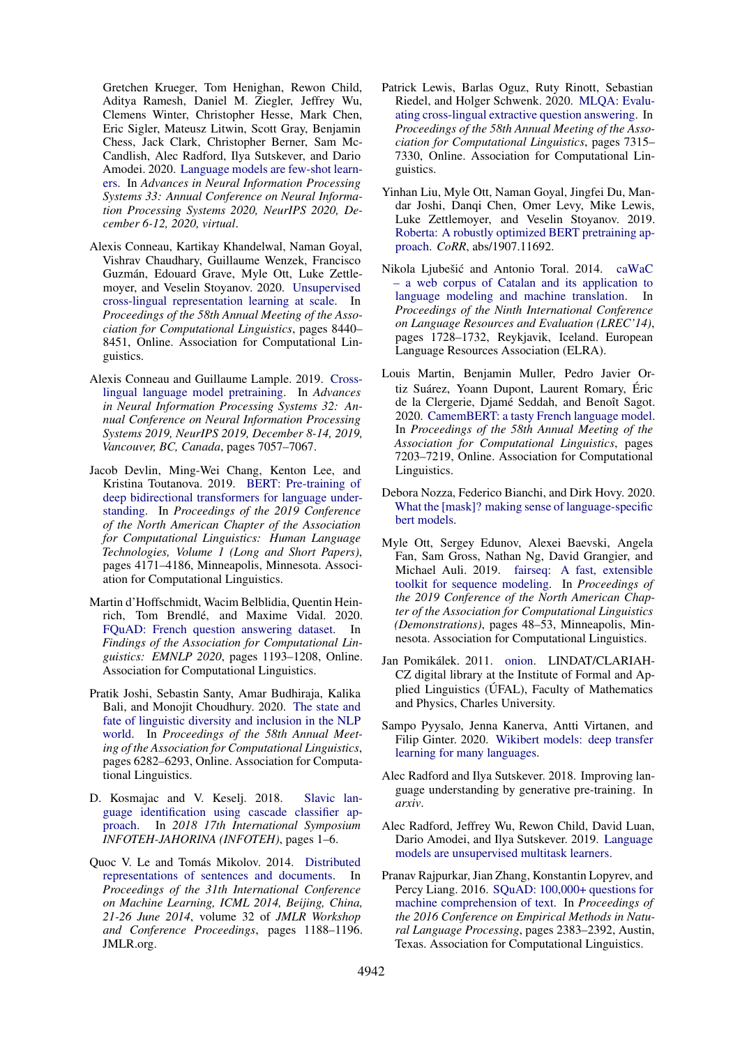Gretchen Krueger, Tom Henighan, Rewon Child, Aditya Ramesh, Daniel M. Ziegler, Jeffrey Wu, Clemens Winter, Christopher Hesse, Mark Chen, Eric Sigler, Mateusz Litwin, Scott Gray, Benjamin Chess, Jack Clark, Christopher Berner, Sam Mc-Candlish, Alec Radford, Ilya Sutskever, and Dario Amodei. 2020. [Language models are few-shot learn](https://proceedings.neurips.cc/paper/2020/hash/1457c0d6bfcb4967418bfb8ac142f64a-Abstract.html)[ers.](https://proceedings.neurips.cc/paper/2020/hash/1457c0d6bfcb4967418bfb8ac142f64a-Abstract.html) In *Advances in Neural Information Processing Systems 33: Annual Conference on Neural Information Processing Systems 2020, NeurIPS 2020, December 6-12, 2020, virtual*.

- <span id="page-9-2"></span>Alexis Conneau, Kartikay Khandelwal, Naman Goyal, Vishrav Chaudhary, Guillaume Wenzek, Francisco Guzman, Edouard Grave, Myle Ott, Luke Zettle- ´ moyer, and Veselin Stoyanov. 2020. [Unsupervised](https://doi.org/10.18653/v1/2020.acl-main.747) [cross-lingual representation learning at scale.](https://doi.org/10.18653/v1/2020.acl-main.747) In *Proceedings of the 58th Annual Meeting of the Association for Computational Linguistics*, pages 8440– 8451, Online. Association for Computational Linguistics.
- <span id="page-9-5"></span>Alexis Conneau and Guillaume Lample. 2019. [Cross](https://proceedings.neurips.cc/paper/2019/hash/c04c19c2c2474dbf5f7ac4372c5b9af1-Abstract.html)[lingual language model pretraining.](https://proceedings.neurips.cc/paper/2019/hash/c04c19c2c2474dbf5f7ac4372c5b9af1-Abstract.html) In *Advances in Neural Information Processing Systems 32: Annual Conference on Neural Information Processing Systems 2019, NeurIPS 2019, December 8-14, 2019, Vancouver, BC, Canada*, pages 7057–7067.
- <span id="page-9-1"></span>Jacob Devlin, Ming-Wei Chang, Kenton Lee, and Kristina Toutanova. 2019. [BERT: Pre-training of](https://doi.org/10.18653/v1/N19-1423) [deep bidirectional transformers for language under](https://doi.org/10.18653/v1/N19-1423)[standing.](https://doi.org/10.18653/v1/N19-1423) In *Proceedings of the 2019 Conference of the North American Chapter of the Association for Computational Linguistics: Human Language Technologies, Volume 1 (Long and Short Papers)*, pages 4171–4186, Minneapolis, Minnesota. Association for Computational Linguistics.
- <span id="page-9-15"></span>Martin d'Hoffschmidt, Wacim Belblidia, Quentin Heinrich, Tom Brendlé, and Maxime Vidal. 2020. [FQuAD: French question answering dataset.](https://doi.org/10.18653/v1/2020.findings-emnlp.107) In *Findings of the Association for Computational Linguistics: EMNLP 2020*, pages 1193–1208, Online. Association for Computational Linguistics.
- <span id="page-9-0"></span>Pratik Joshi, Sebastin Santy, Amar Budhiraja, Kalika Bali, and Monojit Choudhury. 2020. [The state and](https://doi.org/10.18653/v1/2020.acl-main.560) [fate of linguistic diversity and inclusion in the NLP](https://doi.org/10.18653/v1/2020.acl-main.560) [world.](https://doi.org/10.18653/v1/2020.acl-main.560) In *Proceedings of the 58th Annual Meeting of the Association for Computational Linguistics*, pages 6282–6293, Online. Association for Computational Linguistics.
- <span id="page-9-10"></span>D. Kosmajac and V. Keselj. 2018. [Slavic lan](https://doi.org/10.1109/INFOTEH.2018.8345541)[guage identification using cascade classifier ap](https://doi.org/10.1109/INFOTEH.2018.8345541)[proach.](https://doi.org/10.1109/INFOTEH.2018.8345541) In *2018 17th International Symposium INFOTEH-JAHORINA (INFOTEH)*, pages 1–6.
- <span id="page-9-13"></span>Quoc V. Le and Tomás Mikolov. 2014. [Distributed](http://proceedings.mlr.press/v32/le14.html) [representations of sentences and documents.](http://proceedings.mlr.press/v32/le14.html) In *Proceedings of the 31th International Conference on Machine Learning, ICML 2014, Beijing, China, 21-26 June 2014*, volume 32 of *JMLR Workshop and Conference Proceedings*, pages 1188–1196. JMLR.org.
- <span id="page-9-17"></span>Patrick Lewis, Barlas Oguz, Ruty Rinott, Sebastian Riedel, and Holger Schwenk. 2020. [MLQA: Evalu](https://doi.org/10.18653/v1/2020.acl-main.653)[ating cross-lingual extractive question answering.](https://doi.org/10.18653/v1/2020.acl-main.653) In *Proceedings of the 58th Annual Meeting of the Association for Computational Linguistics*, pages 7315– 7330, Online. Association for Computational Linguistics.
- <span id="page-9-6"></span>Yinhan Liu, Myle Ott, Naman Goyal, Jingfei Du, Mandar Joshi, Danqi Chen, Omer Levy, Mike Lewis, Luke Zettlemoyer, and Veselin Stoyanov. 2019. [Roberta: A robustly optimized BERT pretraining ap](http://arxiv.org/abs/1907.11692)[proach.](http://arxiv.org/abs/1907.11692) *CoRR*, abs/1907.11692.
- <span id="page-9-9"></span>Nikola Liubešić and Antonio Toral. 2014. [caWaC](http://www.lrec-conf.org/proceedings/lrec2014/pdf/841_Paper.pdf) [– a web corpus of Catalan and its application to](http://www.lrec-conf.org/proceedings/lrec2014/pdf/841_Paper.pdf) [language modeling and machine translation.](http://www.lrec-conf.org/proceedings/lrec2014/pdf/841_Paper.pdf) In *Proceedings of the Ninth International Conference on Language Resources and Evaluation (LREC'14)*, pages 1728–1732, Reykjavik, Iceland. European Language Resources Association (ELRA).
- <span id="page-9-3"></span>Louis Martin, Benjamin Muller, Pedro Javier Ortiz Suárez, Yoann Dupont, Laurent Romary, Éric de la Clergerie, Djamé Seddah, and Benoît Sagot. 2020. [CamemBERT: a tasty French language model.](https://doi.org/10.18653/v1/2020.acl-main.645) In *Proceedings of the 58th Annual Meeting of the Association for Computational Linguistics*, pages 7203–7219, Online. Association for Computational Linguistics.
- <span id="page-9-8"></span>Debora Nozza, Federico Bianchi, and Dirk Hovy. 2020. [What the \[mask\]? making sense of language-specific](http://arxiv.org/abs/2003.02912) [bert models.](http://arxiv.org/abs/2003.02912)
- <span id="page-9-16"></span>Myle Ott, Sergey Edunov, Alexei Baevski, Angela Fan, Sam Gross, Nathan Ng, David Grangier, and Michael Auli. 2019. [fairseq: A fast, extensible](https://doi.org/10.18653/v1/N19-4009) [toolkit for sequence modeling.](https://doi.org/10.18653/v1/N19-4009) In *Proceedings of the 2019 Conference of the North American Chapter of the Association for Computational Linguistics (Demonstrations)*, pages 48–53, Minneapolis, Minnesota. Association for Computational Linguistics.
- <span id="page-9-11"></span>Jan Pomikálek. 2011. [onion.](http://hdl.handle.net/11858/00-097C-0000-000D-F67B-7) LINDAT/CLARIAH-CZ digital library at the Institute of Formal and Applied Linguistics (UFAL), Faculty of Mathematics ´ and Physics, Charles University.
- <span id="page-9-7"></span>Sampo Pyysalo, Jenna Kanerva, Antti Virtanen, and Filip Ginter. 2020. [Wikibert models: deep transfer](http://arxiv.org/abs/2006.01538) [learning for many languages.](http://arxiv.org/abs/2006.01538)
- <span id="page-9-4"></span>Alec Radford and Ilya Sutskever. 2018. Improving language understanding by generative pre-training. In *arxiv*.
- <span id="page-9-12"></span>Alec Radford, Jeffrey Wu, Rewon Child, David Luan, Dario Amodei, and Ilya Sutskever. 2019. [Language](https://d4mucfpksywv.cloudfront.net/better-language-models/language-models.pdf) [models are unsupervised multitask learners.](https://d4mucfpksywv.cloudfront.net/better-language-models/language-models.pdf)
- <span id="page-9-14"></span>Pranav Rajpurkar, Jian Zhang, Konstantin Lopyrev, and Percy Liang. 2016. [SQuAD: 100,000+ questions for](https://doi.org/10.18653/v1/D16-1264) [machine comprehension of text.](https://doi.org/10.18653/v1/D16-1264) In *Proceedings of the 2016 Conference on Empirical Methods in Natural Language Processing*, pages 2383–2392, Austin, Texas. Association for Computational Linguistics.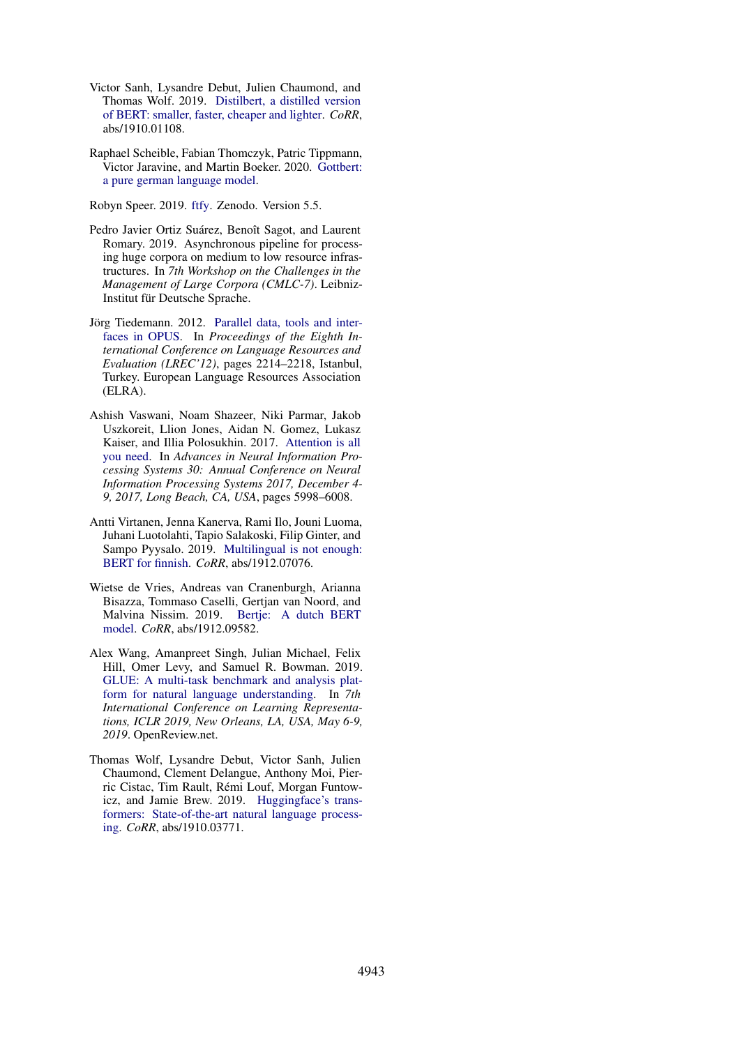- <span id="page-10-8"></span>Victor Sanh, Lysandre Debut, Julien Chaumond, and Thomas Wolf. 2019. [Distilbert, a distilled version](http://arxiv.org/abs/1910.01108) [of BERT: smaller, faster, cheaper and lighter.](http://arxiv.org/abs/1910.01108) *CoRR*, abs/1910.01108.
- <span id="page-10-6"></span>Raphael Scheible, Fabian Thomczyk, Patric Tippmann, Victor Jaravine, and Martin Boeker. 2020. [Gottbert:](http://arxiv.org/abs/2012.02110) [a pure german language model.](http://arxiv.org/abs/2012.02110)

<span id="page-10-5"></span>Robyn Speer. 2019. [ftfy.](https://doi.org/10.5281/zenodo.2591652) Zenodo. Version 5.5.

- <span id="page-10-4"></span>Pedro Javier Ortiz Suárez, Benoît Sagot, and Laurent Romary. 2019. Asynchronous pipeline for processing huge corpora on medium to low resource infrastructures. In *7th Workshop on the Challenges in the Management of Large Corpora (CMLC-7)*. Leibniz-Institut für Deutsche Sprache.
- <span id="page-10-3"></span>Jörg Tiedemann. 2012. [Parallel data, tools and inter](http://www.lrec-conf.org/proceedings/lrec2012/pdf/463_Paper.pdf)[faces in OPUS.](http://www.lrec-conf.org/proceedings/lrec2012/pdf/463_Paper.pdf) In *Proceedings of the Eighth International Conference on Language Resources and Evaluation (LREC'12)*, pages 2214–2218, Istanbul, Turkey. European Language Resources Association (ELRA).
- <span id="page-10-0"></span>Ashish Vaswani, Noam Shazeer, Niki Parmar, Jakob Uszkoreit, Llion Jones, Aidan N. Gomez, Lukasz Kaiser, and Illia Polosukhin. 2017. [Attention is all](https://proceedings.neurips.cc/paper/2017/hash/3f5ee243547dee91fbd053c1c4a845aa-Abstract.html) [you need.](https://proceedings.neurips.cc/paper/2017/hash/3f5ee243547dee91fbd053c1c4a845aa-Abstract.html) In *Advances in Neural Information Processing Systems 30: Annual Conference on Neural Information Processing Systems 2017, December 4- 9, 2017, Long Beach, CA, USA*, pages 5998–6008.
- <span id="page-10-1"></span>Antti Virtanen, Jenna Kanerva, Rami Ilo, Jouni Luoma, Juhani Luotolahti, Tapio Salakoski, Filip Ginter, and Sampo Pyysalo. 2019. [Multilingual is not enough:](http://arxiv.org/abs/1912.07076) [BERT for finnish.](http://arxiv.org/abs/1912.07076) *CoRR*, abs/1912.07076.
- <span id="page-10-2"></span>Wietse de Vries, Andreas van Cranenburgh, Arianna Bisazza, Tommaso Caselli, Gertjan van Noord, and Malvina Nissim. 2019. [Bertje: A dutch BERT](http://arxiv.org/abs/1912.09582) [model.](http://arxiv.org/abs/1912.09582) *CoRR*, abs/1912.09582.
- <span id="page-10-7"></span>Alex Wang, Amanpreet Singh, Julian Michael, Felix Hill, Omer Levy, and Samuel R. Bowman. 2019. [GLUE: A multi-task benchmark and analysis plat](https://openreview.net/forum?id=rJ4km2R5t7)[form for natural language understanding.](https://openreview.net/forum?id=rJ4km2R5t7) In *7th International Conference on Learning Representations, ICLR 2019, New Orleans, LA, USA, May 6-9, 2019*. OpenReview.net.
- <span id="page-10-9"></span>Thomas Wolf, Lysandre Debut, Victor Sanh, Julien Chaumond, Clement Delangue, Anthony Moi, Pierric Cistac, Tim Rault, Rémi Louf, Morgan Funtowicz, and Jamie Brew. 2019. [Huggingface's trans](http://arxiv.org/abs/1910.03771)[formers: State-of-the-art natural language process](http://arxiv.org/abs/1910.03771)[ing.](http://arxiv.org/abs/1910.03771) *CoRR*, abs/1910.03771.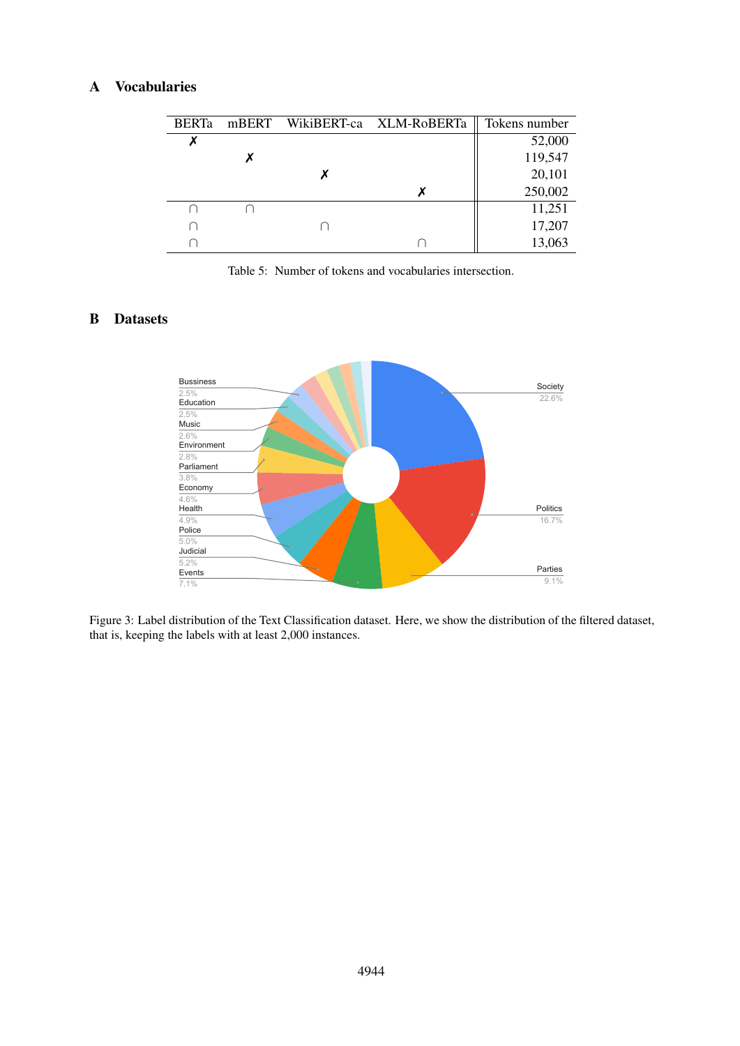## <span id="page-11-0"></span>A Vocabularies

| <b>BERTa</b> |  | mBERT WikiBERT-ca XLM-RoBERTa | Tokens number |
|--------------|--|-------------------------------|---------------|
|              |  |                               | 52,000        |
|              |  |                               | 119,547       |
|              |  |                               | 20,101        |
|              |  |                               | 250,002       |
|              |  |                               | 11,251        |
|              |  |                               | 17,207        |
|              |  |                               | 13,063        |

Table 5: Number of tokens and vocabularies intersection.

## <span id="page-11-1"></span>B Datasets



Figure 3: Label distribution of the Text Classification dataset. Here, we show the distribution of the filtered dataset, that is, keeping the labels with at least 2,000 instances.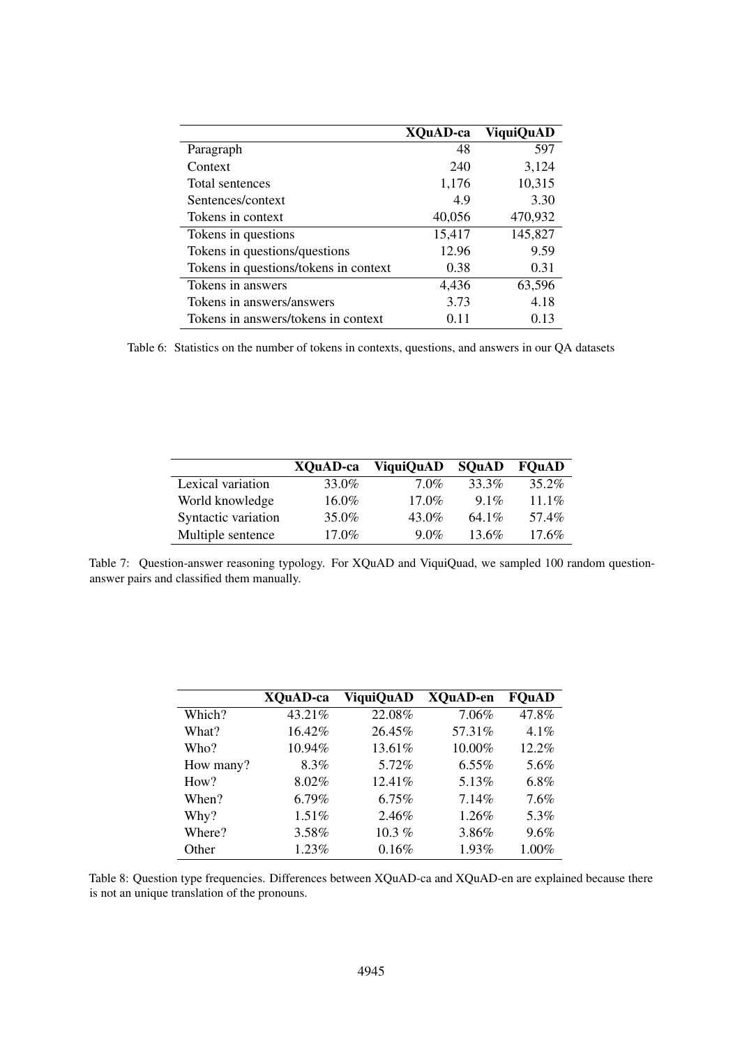|                                       | <b>XOuAD-ca</b> | <b>ViquiQuAD</b> |
|---------------------------------------|-----------------|------------------|
| Paragraph                             | 48              | 597              |
| Context                               | 240             | 3,124            |
| Total sentences                       | 1,176           | 10,315           |
| Sentences/context                     | 4.9             | 3.30             |
| Tokens in context                     | 40,056          | 470,932          |
| Tokens in questions                   | 15,417          | 145,827          |
| Tokens in questions/questions         | 12.96           | 9.59             |
| Tokens in questions/tokens in context | 0.38            | 0.31             |
| Tokens in answers                     | 4,436           | 63,596           |
| Tokens in answers/answers             | 3.73            | 4.18             |
| Tokens in answers/tokens in context   | 0.11            | 0.13             |

Table 6: Statistics on the number of tokens in contexts, questions, and answers in our QA datasets

|                     | XOuAD-ca | <b>ViquiQuAD</b> | <b>SOuAD</b> | <b>FOuAD</b> |
|---------------------|----------|------------------|--------------|--------------|
| Lexical variation   | 33.0%    | $7.0\%$          | 33.3%        | 35.2%        |
| World knowledge     | $16.0\%$ | $17.0\%$         | $9.1\%$      | $11.1\%$     |
| Syntactic variation | 35.0%    | 43.0%            | 64.1%        | 57.4%        |
| Multiple sentence   | $17.0\%$ | $9.0\%$          | $13.6\%$     | $17.6\%$     |

Table 7: Question-answer reasoning typology. For XQuAD and ViquiQuad, we sampled 100 random questionanswer pairs and classified them manually.

|           | XQuAD-ca  | <b>ViquiQuAD</b> | <b>XQuAD-en</b> | <b>FOuAD</b> |
|-----------|-----------|------------------|-----------------|--------------|
| Which?    | 43.21%    | 22.08%           | 7.06%           | 47.8%        |
| What?     | $16.42\%$ | 26.45%           | 57.31\%         | $4.1\%$      |
| Who?      | $10.94\%$ | $13.61\%$        | $10.00\%$       | $12.2\%$     |
| How many? | 8.3%      | 5.72%            | $6.55\%$        | 5.6%         |
| How?      | $8.02\%$  | $12.41\%$        | 5.13%           | 6.8%         |
| When?     | $6.79\%$  | $6.75\%$         | 7.14%           | 7.6%         |
| Why?      | 1.51%     | 2.46%            | $1.26\%$        | 5.3%         |
| Where?    | 3.58%     | $10.3\%$         | 3.86%           | 9.6%         |
| Other     | $1.23\%$  | 0.16%            | 1.93%           | 1.00%        |
|           |           |                  |                 |              |

Table 8: Question type frequencies. Differences between XQuAD-ca and XQuAD-en are explained because there is not an unique translation of the pronouns.